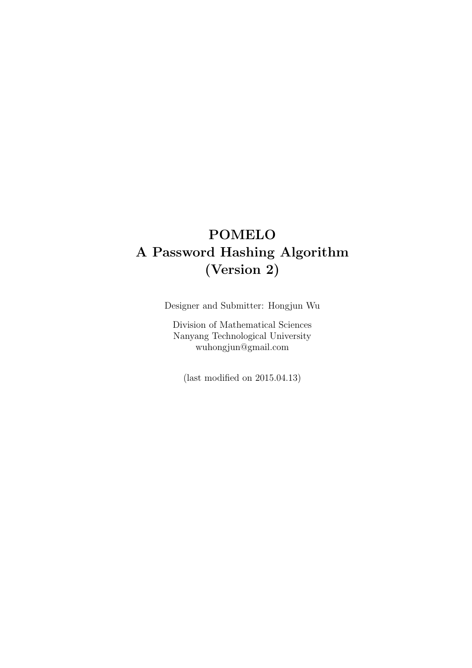# **POMELO A Password Hashing Algorithm (Version 2)**

Designer and Submitter: Hongjun Wu

Division of Mathematical Sciences Nanyang Technological University wuhongjun@gmail.com

(last modified on 2015.04.13)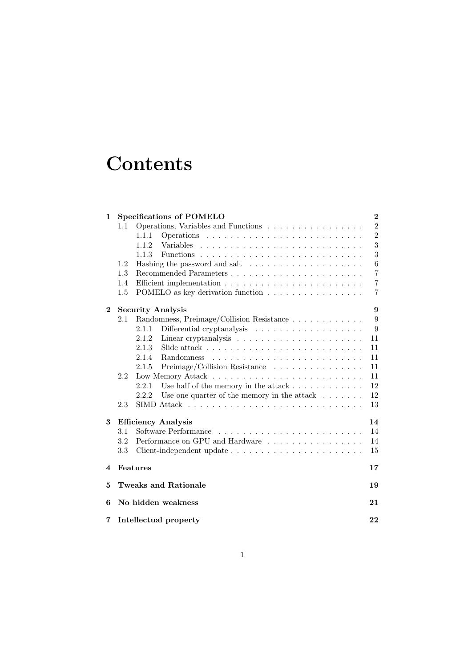# **Contents**

| 1                                    | <b>Specifications of POMELO</b>                                          |                                  |  |  |  |  |  |  |  |  |
|--------------------------------------|--------------------------------------------------------------------------|----------------------------------|--|--|--|--|--|--|--|--|
|                                      | Operations, Variables and Functions<br>1.1                               | $\overline{2}$                   |  |  |  |  |  |  |  |  |
|                                      | 1.1.1                                                                    | $\overline{2}$                   |  |  |  |  |  |  |  |  |
|                                      | Variables<br>1.1.2                                                       | 3                                |  |  |  |  |  |  |  |  |
|                                      | 1.1.3                                                                    | 3                                |  |  |  |  |  |  |  |  |
|                                      | 1.2                                                                      | $\,6$                            |  |  |  |  |  |  |  |  |
|                                      | 1.3                                                                      | $\overline{7}$                   |  |  |  |  |  |  |  |  |
|                                      | 1.4                                                                      | $\overline{7}$<br>$\overline{7}$ |  |  |  |  |  |  |  |  |
|                                      | 1.5<br>POMELO as key derivation function                                 |                                  |  |  |  |  |  |  |  |  |
| <b>Security Analysis</b><br>$\bf{2}$ |                                                                          |                                  |  |  |  |  |  |  |  |  |
|                                      | Randomness, Preimage/Collision Resistance<br>2.1                         | 9                                |  |  |  |  |  |  |  |  |
|                                      | 2.1.1<br>Differential cryptanalysis $\ldots \ldots \ldots \ldots \ldots$ | $\boldsymbol{9}$                 |  |  |  |  |  |  |  |  |
|                                      | 2.1.2                                                                    | 11                               |  |  |  |  |  |  |  |  |
|                                      | 2.1.3                                                                    | 11                               |  |  |  |  |  |  |  |  |
|                                      | 2.1.4<br><b>Randomness</b>                                               | 11                               |  |  |  |  |  |  |  |  |
|                                      | 2.1.5<br>Preimage/Collision Resistance                                   | 11                               |  |  |  |  |  |  |  |  |
|                                      | 2.2                                                                      | 11                               |  |  |  |  |  |  |  |  |
|                                      | 2.2.1                                                                    | 12                               |  |  |  |  |  |  |  |  |
|                                      | 2.2.2<br>Use one quarter of the memory in the attack $\ldots \ldots$     | 12                               |  |  |  |  |  |  |  |  |
|                                      | 2.3                                                                      | 13                               |  |  |  |  |  |  |  |  |
| 3                                    | <b>Efficiency Analysis</b>                                               | 14                               |  |  |  |  |  |  |  |  |
|                                      | 3.1<br>Software Performance                                              | 14                               |  |  |  |  |  |  |  |  |
|                                      | 3.2<br>Performance on GPU and Hardware                                   | 14                               |  |  |  |  |  |  |  |  |
|                                      | 3.3                                                                      | 15                               |  |  |  |  |  |  |  |  |
| 4                                    | Features<br>17                                                           |                                  |  |  |  |  |  |  |  |  |
| 5                                    | <b>Tweaks and Rationale</b>                                              |                                  |  |  |  |  |  |  |  |  |
| 6                                    | No hidden weakness                                                       |                                  |  |  |  |  |  |  |  |  |
| 7                                    | Intellectual property                                                    |                                  |  |  |  |  |  |  |  |  |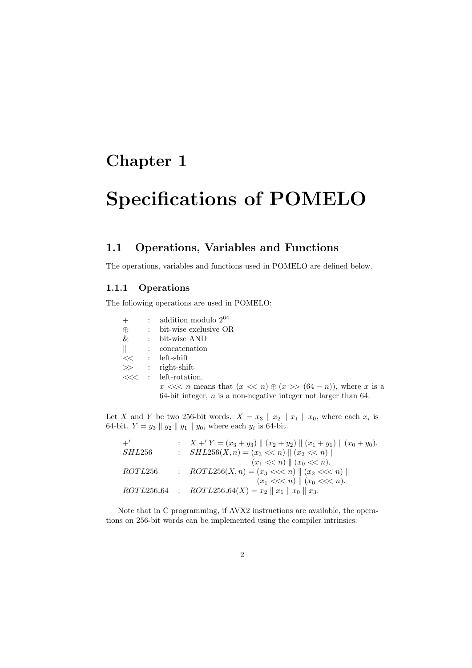# **Specifications of POMELO**

## **1.1 Operations, Variables and Functions**

The operations, variables and functions used in POMELO are defined below.

#### **1.1.1 Operations**

The following operations are used in POMELO:

|          | $:$ addition modulo $2^{64}$                                            |
|----------|-------------------------------------------------------------------------|
| $\oplus$ | $:$ bit-wise exclusive OR                                               |
| &        | : bit-wise AND                                                          |
|          | $\parallel$ : concatenation                                             |
|          | << : left-shift                                                         |
|          | $\gg$ : right-shift                                                     |
|          | $\ll\lt$ : left-rotation.                                               |
|          | $x \ll n$ means that $(x \ll n) \oplus (x \gg (64 - n))$ , where x is a |
|          | 64-bit integer, $n$ is a non-negative integer not larger than 64.       |

Let *X* and *Y* be two 256-bit words.  $X = x_3 \parallel x_2 \parallel x_1 \parallel x_0$ , where each  $x_i$  is 64-bit.  $Y = y_3 \nvert y_2 \nvert y_1 \nvert y_0$ , where each  $y_i$  is 64-bit.

| $+^{\prime}$ | $\therefore$ $X + Y = (x_3 + y_3)    (x_2 + y_2)    (x_1 + y_1)    (x_0 + y_0).$ |
|--------------|----------------------------------------------------------------------------------|
| SHL256       | : $SHL256(X, n) = (x_3 \ll n)    (x_2 \ll n)   $                                 |
|              | $(x_1 \ll n) \parallel (x_0 \ll n).$                                             |
| ROTL256      | : $ROTL256(X, n) = (x_3 \ll n)    (x_2 \ll n)   $                                |
|              | $(x_1 \ll < n) \parallel (x_0 \ll < n).$                                         |
|              | ROTL256.64 : ROTL256.64(X) = $x_2 \parallel x_1 \parallel x_0 \parallel x_3$ .   |

Note that in C programming, if AVX2 instructions are available, the operations on 256-bit words can be implemented using the compiler intrinsics: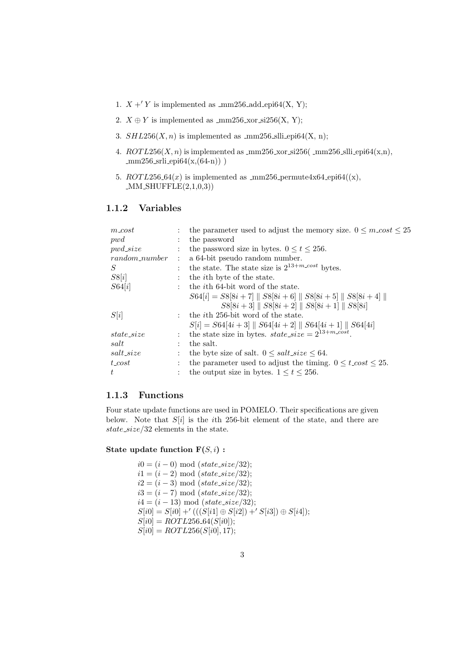- 1.  $X + Y$  is implemented as \_mm256\_add\_epi64(X, Y);
- 2.  $X \oplus Y$  is implemented as \_mm256\_xor\_si256(X, Y);
- 3.  $SHL256(X, n)$  is implemented as  $\text{\textsterling m256}$  slli epi64(X, n);
- 4.  $ROTL256(X, n)$  is implemented as  $\text{mm256.x}$  xor si256( $\text{mm256}$  slli epi64(x,n),  $mm256$  srli epi $64(x,(64-n))$ )
- 5.  $ROTL256.64(x)$  is implemented as \_mm256\_permute4x64\_epi64((x),  $MM\_SHUFFLE(2,1,0,3))$

### **1.1.2 Variables**

| $m\_cost$       |                      | the parameter used to adjust the memory size. $0 \leq m\cos\theta \leq 25$   |
|-----------------|----------------------|------------------------------------------------------------------------------|
| pwd             |                      | the password                                                                 |
| $pwd\_size$     |                      | the password size in bytes. $0 \le t \le 256$ .                              |
| $random_number$ | $\ddot{\phantom{a}}$ | a 64-bit pseudo random number.                                               |
| S               | $\mathbf{L}$         | the state. The state size is $2^{13+m\text{-}cost}$ bytes.                   |
| S8[i]           |                      | the <i>i</i> th byte of the state.                                           |
| S64[i]          |                      | the <i>i</i> th 64-bit word of the state.                                    |
|                 |                      | $S64[i] = S8[8i + 7] \  S8[8i + 6] \  S8[8i + 5] \  S8[8i + 4] \ $           |
|                 |                      | $S8[8i+3]$    $S8[8i+2]$    $S8[8i+1]$    $S8[8i]$                           |
| S[i]            |                      | : the <i>i</i> th 256-bit word of the state.                                 |
|                 |                      | $S[i] = S64[4i+3] \parallel S64[4i+2] \parallel S64[4i+1] \parallel S64[4i]$ |
| $state\_size$   |                      | the state size in bytes. $state\_size = 2^{13+m\_cost}$ .                    |
| salt            |                      | the salt.                                                                    |
| $salt\_size$    |                      | the byte size of salt. $0 \leq salt\_size \leq 64$ .                         |
| $t\_cost$       |                      | the parameter used to adjust the timing. $0 \leq t\_{cost} \leq 25$ .        |
| t.              |                      | the output size in bytes. $1 \le t \le 256$ .                                |
|                 |                      |                                                                              |

### **1.1.3 Functions**

Four state update functions are used in POMELO. Their specifications are given below. Note that *S*[*i*] is the *i*th 256-bit element of the state, and there are *state size/*32 elements in the state.

#### **State update function F(***S, i***) :**

 $i0 = (i - 0) \mod (state\_size/32);$  $i1 = (i - 2) \mod (state\_size/32);$  $i2 = (i - 3) \mod (state\_size/32);$  $i3 = (i - 7) \mod (state\_size/32);$  $i4 = (i - 13) \mod (state\_size/32);$  $S[i0] = S[i0] +' (( (S[i1] \oplus S[i2]) +' S[i3]) \oplus S[i4]);$  $S[i0] = ROTL256_64(S[i0]);$  $S[i0] = ROTL256(S[i0], 17);$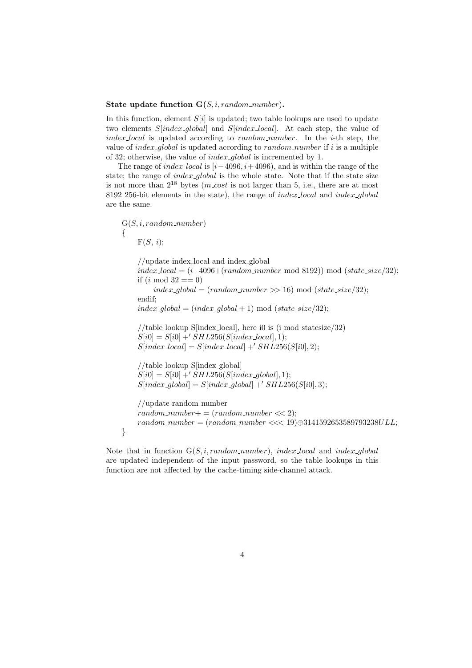#### **State update function G(***S, i, random number*)**.**

In this function, element *S*[*i*] is updated; two table lookups are used to update two elements *S*[*index global*] and *S*[*index local*]. At each step, the value of *index local* is updated according to *random number*. In the *i*-th step, the value of *index global* is updated according to *random number* if *i* is a multiple of 32; otherwise, the value of *index global* is incremented by 1.

The range of *index local* is [*i−*4096*, i*+ 4096), and is within the range of the state; the range of *index global* is the whole state. Note that if the state size is not more than  $2^{18}$  bytes (*m\_cost* is not larger than 5, i.e., there are at most 8192 256-bit elements in the state), the range of *index local* and *index global* are the same.

G(*S, i, random number*) *{*  $F(S, i);$ 

//update index local and index global *index local* = (*i−*4096+(*random number* mod 8192)) mod (*state size/*32); if  $(i \mod 32 == 0)$  $index_{q}$ *dobal* = (*random\_number* >> 16) mod (*state\_size*/32); endif;  $index_{g}$ *dobal* = ( $index_{g}$ *dobal* + 1) mod ( $state_{g}$ *size*/32); //table lookup S[index\_local], here i0 is (i mod statesize/32)  $S[i0] = S[i0] + 'SHL256(S/index\_local], 1);$  $S[index\_local] = S[index\_local] + 'SHL256(S[*i*0], 2);$ //table lookup S[index global]  $S[i0] = S[i0] + 'SHL256(S[index_global], 1);$  $S[index_global] = S[index_global] + 'SHL256(S[i0], 3);$ //update random number  $random_number += (random_number << 2);$ *random number* = (*random number <<<* 19)*⊕*3141592653589793238*ULL*; *}*

Note that in function G(*S, i, random number*), *index local* and *index global* are updated independent of the input password, so the table lookups in this function are not affected by the cache-timing side-channel attack.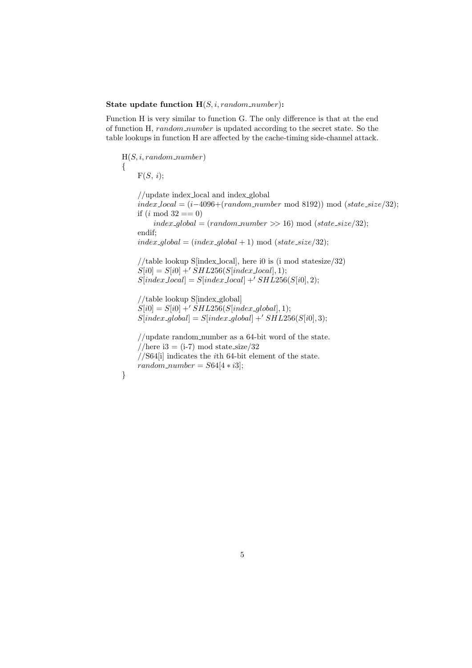#### **State update function H**(*S, i, random number*)**:**

Function H is very similar to function G. The only difference is that at the end of function H, *random number* is updated according to the secret state. So the table lookups in function H are affected by the cache-timing side-channel attack.

H(*S, i, random number*) *{*  $F(S, i);$ //update index local and index global *index local* = (*i−*4096+(*random number* mod 8192)) mod (*state size/*32); if  $(i \mod 32 == 0)$  $index_{g} [bold = (random_{number} > 16) \text{ mod } (state\_size/32);$ endif;  $index_{g} [bold = (index_{g} [bold + 1)] \mod (state\_size/32);$ //table lookup S[index local], here i0 is (i mod statesize/32)  $S[i0] = S[i0] + 'SHL256(S[index\_local], 1);$  $S[index\_local] = S[index\_local] + 'SHL256(S[i0], 2);$ //table lookup S[index global]  $S[i0] = S[i0] + 'SHL256(S[index_global], 1);$  $S[index_global] = S[index_global] + 'SHL256(S[i0], 3);$ //update random number as a 64-bit word of the state. //here i3 = (i-7) mod state\_size/32 //S64[i] indicates the *i*th 64-bit element of the state.  $random_number = S64[4 * i3];$ *}*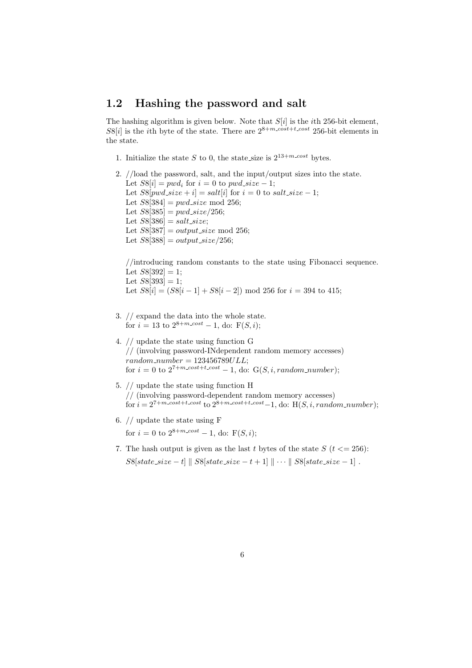### **1.2 Hashing the password and salt**

The hashing algorithm is given below. Note that *S*[*i*] is the *i*th 256-bit element,  $S8[i]$  is the *i*th byte of the state. There are  $2^{8+m\cdot cost+t\cdot cost}$  256-bit elements in the state.

1. Initialize the state *S* to 0, the state size is  $2^{13+m\text{-}cost}$  bytes.

```
2. //load the password, salt, and the input/output sizes into the state.
Let S8[i] = pwd_i for i = 0 to pwd\_size - 1;
Let S8[pwd\_size + i] = salt[i] for i = 0 to salt\_size - 1;
 Let S8[384] = pwd\_size \mod 256;Let S8[385] = pwd\_size/256;Let S8[386] = salt\_size;Let S8[387] = output\_size \mod 256;
Let S8[388] = output\_size/256;
```
//introducing random constants to the state using Fibonacci sequence. Let  $S8[392] = 1$ ; Let  $S8[393] = 1$ ; Let  $S8[i] = (S8[i-1] + S8[i-2]) \text{ mod } 256 \text{ for } i = 394 \text{ to } 415;$ 

- 3. // expand the data into the whole state. for  $i = 13$  to  $2^{8+m\text{-}cost} - 1$ , do:  $F(S, i)$ ;
- 4. // update the state using function G // (involving password-INdependent random memory accesses) *random number* = 123456789*ULL*; for  $i = 0$  to  $2^{7+m\text{-}cost+t\text{-}cost} - 1$ , do:  $G(S, i, random_number)$ ;
- 5. // update the state using function H // (involving password-dependent random memory accesses)  $f_{\text{or }i} = 2^{7+m}\text{cos}t+t\text{cos}t$  to  $2^{8+m}\text{cos}t+t\text{cos}t-1$ , do: H( $S, i, random_number$ );
- 6. // update the state using F for  $i = 0$  to  $2^{8+m\text{-}cost} - 1$ , do:  $F(S, i)$ ;
- 7. The hash output is given as the last *t* bytes of the state  $S(t \leq 256)$ :  $S8[state\_size - t]$   $\parallel S8[state\_size - t + 1]$   $\parallel \cdots$   $\parallel S8[state\_size - 1]$ .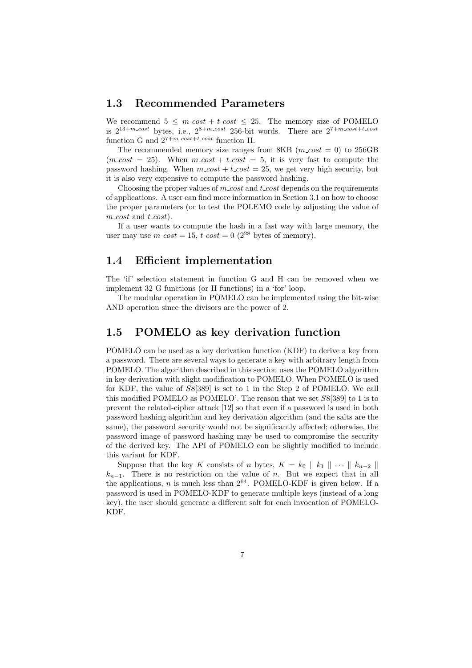### **1.3 Recommended Parameters**

We recommend  $5 \leq m\text{-}cost + t\text{-}cost \leq 25$ . The memory size of POMELO is  $2^{13+m \cdot cost}$  bytes, i.e.,  $2^{8+m \cdot cost}$  256-bit words. There are  $2^{7+m \cdot cost + t \cdot cost}$ function G and  $2^{7+m\cdot cost+t\cdot cost}$  function H.

The recommended memory size ranges from 8KB  $(m\_cost = 0)$  to 256GB  $(m\text{-}cost = 25)$ . When  $m\text{-}cost + t\text{-}cost = 5$ , it is very fast to compute the password hashing. When  $m\_cost + t\_cost = 25$ , we get very high security, but it is also very expensive to compute the password hashing.

Choosing the proper values of *m cost* and *t cost* depends on the requirements of applications. A user can find more information in Section 3.1 on how to choose the proper parameters (or to test the POLEMO code by adjusting the value of  $m\_cost$  and  $t\_cost$ ).

If a user wants to compute the hash in a fast way with large memory, the user may use  $m\_cost = 15$ ,  $t\_cost = 0$  (2<sup>28</sup> bytes of memory).

### **1.4 Efficient implementation**

The 'if' selection statement in function G and H can be removed when we implement 32 G functions (or H functions) in a 'for' loop.

The modular operation in POMELO can be implemented using the bit-wise AND operation since the divisors are the power of 2.

### **1.5 POMELO as key derivation function**

POMELO can be used as a key derivation function (KDF) to derive a key from a password. There are several ways to generate a key with arbitrary length from POMELO. The algorithm described in this section uses the POMELO algorithm in key derivation with slight modification to POMELO. When POMELO is used for KDF, the value of *S*8[389] is set to 1 in the Step 2 of POMELO. We call this modified POMELO as POMELO'. The reason that we set *S*8[389] to 1 is to prevent the related-cipher attack [12] so that even if a password is used in both password hashing algorithm and key derivation algorithm (and the salts are the same), the password security would not be significantly affected; otherwise, the password image of password hashing may be used to compromise the security of the derived key. The API of POMELO can be slightly modified to include this variant for KDF.

Suppose that the key *K* consists of *n* bytes,  $K = k_0 \parallel k_1 \parallel \cdots \parallel k_{n-2} \parallel$ *k<sup>n</sup>−*<sup>1</sup>. There is no restriction on the value of *n*. But we expect that in all the applications, *n* is much less than  $2^{64}$ . POMELO-KDF is given below. If a password is used in POMELO-KDF to generate multiple keys (instead of a long key), the user should generate a different salt for each invocation of POMELO-KDF.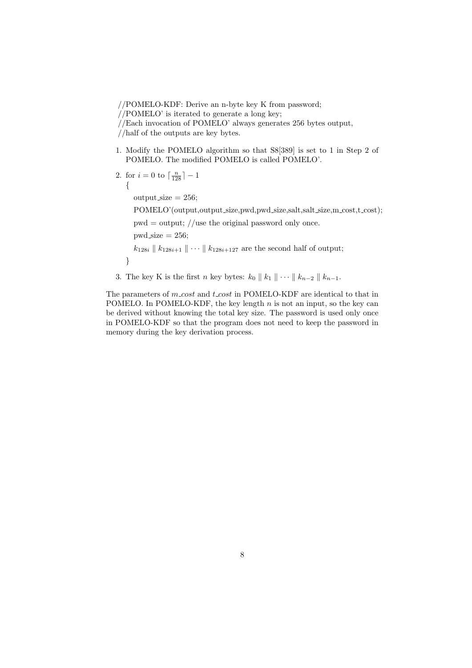//POMELO-KDF: Derive an n-byte key K from password;

//POMELO' is iterated to generate a long key;

//half of the outputs are key bytes.

- 1. Modify the POMELO algorithm so that S8[389] is set to 1 in Step 2 of POMELO. The modified POMELO is called POMELO'.
- 2. for  $i = 0$  to  $\lceil \frac{n}{128} \rceil 1$ *{*

 $output_size = 256;$ 

POMELO'(output,output\_size,pwd,pwd\_size,salt,salt\_size,m\_cost,t\_cost);

 $pwd = output$ ; //use the original password only once.

 $pwd\_size = 256$ ;

*}*

*k*<sub>128*i*</sub> *∥ k*<sub>128*i*+1</sub> *∥*  $\cdots$  *∥ k*<sub>128*i*+127</sub> are the second half of output;

3. The key K is the first *n* key bytes:  $k_0 \parallel k_1 \parallel \cdots \parallel k_{n-2} \parallel k_{n-1}$ .

The parameters of *m cost* and *t cost* in POMELO-KDF are identical to that in POMELO. In POMELO-KDF, the key length *n* is not an input, so the key can be derived without knowing the total key size. The password is used only once in POMELO-KDF so that the program does not need to keep the password in memory during the key derivation process.

<sup>//</sup>Each invocation of POMELO' always generates 256 bytes output,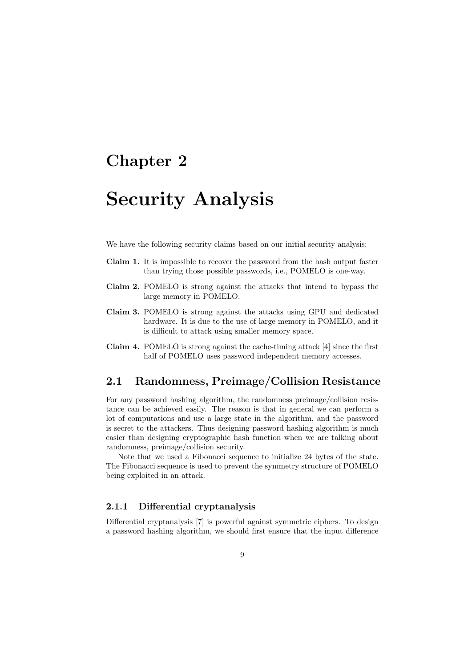# **Security Analysis**

We have the following security claims based on our initial security analysis:

- **Claim 1.** It is impossible to recover the password from the hash output faster than trying those possible passwords, i.e., POMELO is one-way.
- **Claim 2.** POMELO is strong against the attacks that intend to bypass the large memory in POMELO.
- **Claim 3.** POMELO is strong against the attacks using GPU and dedicated hardware. It is due to the use of large memory in POMELO, and it is difficult to attack using smaller memory space.
- **Claim 4.** POMELO is strong against the cache-timing attack [4] since the first half of POMELO uses password independent memory accesses.

## **2.1 Randomness, Preimage/Collision Resistance**

For any password hashing algorithm, the randomness preimage/collision resistance can be achieved easily. The reason is that in general we can perform a lot of computations and use a large state in the algorithm, and the password is secret to the attackers. Thus designing password hashing algorithm is much easier than designing cryptographic hash function when we are talking about randomness, preimage/collision security.

Note that we used a Fibonacci sequence to initialize 24 bytes of the state. The Fibonacci sequence is used to prevent the symmetry structure of POMELO being exploited in an attack.

### **2.1.1 Differential cryptanalysis**

Differential cryptanalysis [7] is powerful against symmetric ciphers. To design a password hashing algorithm, we should first ensure that the input difference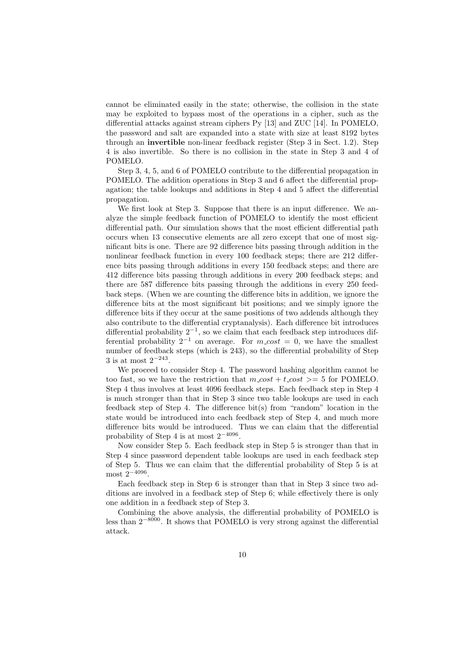cannot be eliminated easily in the state; otherwise, the collision in the state may be exploited to bypass most of the operations in a cipher, such as the differential attacks against stream ciphers Py [13] and ZUC [14]. In POMELO, the password and salt are expanded into a state with size at least 8192 bytes through an **invertible** non-linear feedback register (Step 3 in Sect. 1.2). Step 4 is also invertible. So there is no collision in the state in Step 3 and 4 of POMELO.

Step 3, 4, 5, and 6 of POMELO contribute to the differential propagation in POMELO. The addition operations in Step 3 and 6 affect the differential propagation; the table lookups and additions in Step 4 and 5 affect the differential propagation.

We first look at Step 3. Suppose that there is an input difference. We analyze the simple feedback function of POMELO to identify the most efficient differential path. Our simulation shows that the most efficient differential path occurs when 13 consecutive elements are all zero except that one of most significant bits is one. There are 92 difference bits passing through addition in the nonlinear feedback function in every 100 feedback steps; there are 212 difference bits passing through additions in every 150 feedback steps; and there are 412 difference bits passing through additions in every 200 feedback steps; and there are 587 difference bits passing through the additions in every 250 feedback steps. (When we are counting the difference bits in addition, we ignore the difference bits at the most significant bit positions; and we simply ignore the difference bits if they occur at the same positions of two addends although they also contribute to the differential cryptanalysis). Each difference bit introduces differential probability 2*−*<sup>1</sup> , so we claim that each feedback step introduces differential probability  $2^{-1}$  on average. For  $m\text{-}cost = 0$ , we have the smallest number of feedback steps (which is 243), so the differential probability of Step 3 is at most 2*−*<sup>243</sup> .

We proceed to consider Step 4. The password hashing algorithm cannot be too fast, so we have the restriction that  $m\_cost + t\_cost \ge 5$  for POMELO. Step 4 thus involves at least 4096 feedback steps. Each feedback step in Step 4 is much stronger than that in Step 3 since two table lookups are used in each feedback step of Step 4. The difference bit(s) from "random" location in the state would be introduced into each feedback step of Step 4, and much more difference bits would be introduced. Thus we can claim that the differential probability of Step 4 is at most 2*−*<sup>4096</sup> .

Now consider Step 5. Each feedback step in Step 5 is stronger than that in Step 4 since password dependent table lookups are used in each feedback step of Step 5. Thus we can claim that the differential probability of Step 5 is at most 2*−*<sup>4096</sup> .

Each feedback step in Step 6 is stronger than that in Step 3 since two additions are involved in a feedback step of Step 6; while effectively there is only one addition in a feedback step of Step 3.

Combining the above analysis, the differential probability of POMELO is less than 2*−*<sup>8000</sup>. It shows that POMELO is very strong against the differential attack.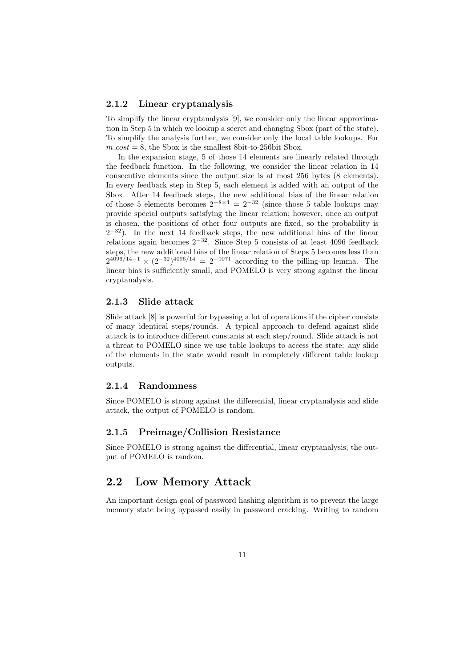#### **2.1.2 Linear cryptanalysis**

To simplify the linear cryptanalysis [9], we consider only the linear approximation in Step 5 in which we lookup a secret and changing Sbox (part of the state). To simplify the analysis further, we consider only the local table lookups. For  $m\_cost = 8$ , the Sbox is the smallest 8bit-to-256bit Sbox.

In the expansion stage, 5 of those 14 elements are linearly related through the feedback function. In the following, we consider the linear relation in 14 consecutive elements since the output size is at most 256 bytes (8 elements). In every feedback step in Step 5, each element is added with an output of the Sbox. After 14 feedback steps, the new additional bias of the linear relation of those 5 elements becomes  $2^{-8 \times 4} = 2^{-32}$  (since those 5 table lookups may provide special outputs satisfying the linear relation; however, once an output is chosen, the positions of other four outputs are fixed, so the probability is 2 *<sup>−</sup>*<sup>32</sup>). In the next 14 feedback steps, the new additional bias of the linear relations again becomes 2*−*<sup>32</sup>. Since Step 5 consists of at least 4096 feedback steps, the new additional bias of the linear relation of Steps 5 becomes less than  $2^{4096/14-1} \times (2^{-32})^{4096/14} = 2^{-9071}$  according to the pilling-up lemma. The linear bias is sufficiently small, and POMELO is very strong against the linear cryptanalysis.

#### **2.1.3 Slide attack**

Slide attack [8] is powerful for bypassing a lot of operations if the cipher consists of many identical steps/rounds. A typical approach to defend against slide attack is to introduce different constants at each step/round. Slide attack is not a threat to POMELO since we use table lookups to access the state: any slide of the elements in the state would result in completely different table lookup outputs.

#### **2.1.4 Randomness**

Since POMELO is strong against the differential, linear cryptanalysis and slide attack, the output of POMELO is random.

#### **2.1.5 Preimage/Collision Resistance**

Since POMELO is strong against the differential, linear cryptanalysis, the output of POMELO is random.

### **2.2 Low Memory Attack**

An important design goal of password hashing algorithm is to prevent the large memory state being bypassed easily in password cracking. Writing to random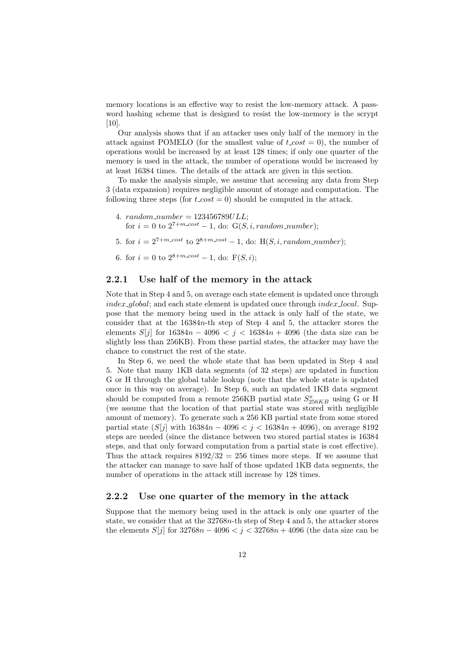memory locations is an effective way to resist the low-memory attack. A password hashing scheme that is designed to resist the low-memory is the scrypt  $|10|$ 

Our analysis shows that if an attacker uses only half of the memory in the attack against POMELO (for the smallest value of  $t\text{-}cost = 0$ ), the number of operations would be increased by at least 128 times; if only one quarter of the memory is used in the attack, the number of operations would be increased by at least 16384 times. The details of the attack are given in this section.

To make the analysis simple, we assume that accessing any data from Step 3 (data expansion) requires negligible amount of storage and computation. The following three steps (for  $t\text{-}cost = 0$ ) should be computed in the attack.

- 4.  $random_number = 123456789ULL;$ for  $i = 0$  to  $2^{7+m\text{-}cost} - 1$ , do:  $G(S, i, random_number)$ ;
- 5. for  $i = 2^{7+m\text{-}cost}$  to  $2^{8+m\text{-}cost} 1$ , do: H(*S, i, random\_number*);
- 6. for  $i = 0$  to  $2^{8+m\text{-}cost} 1$ , do:  $F(S, i)$ ;

#### **2.2.1 Use half of the memory in the attack**

Note that in Step 4 and 5, on average each state element is updated once through *index global*; and each state element is updated once through *index local*. Suppose that the memory being used in the attack is only half of the state, we consider that at the 16384*n*-th step of Step 4 and 5, the attacker stores the elements *S*[*j*] for  $16384n - 4096 < j < 16384n + 4096$  (the data size can be slightly less than 256KB). From these partial states, the attacker may have the chance to construct the rest of the state.

In Step 6, we need the whole state that has been updated in Step 4 and 5. Note that many 1KB data segments (of 32 steps) are updated in function G or H through the global table lookup (note that the whole state is updated once in this way on average). In Step 6, such an updated 1KB data segment should be computed from a remote 256KB partial state  $S_{256KB}^x$  using G or H (we assume that the location of that partial state was stored with negligible amount of memory). To generate such a 256 KB partial state from some stored partial state  $(S[j]$  with  $16384n - 4096 < j < 16384n + 4096$ , on average 8192 steps are needed (since the distance between two stored partial states is 16384 steps, and that only forward computation from a partial state is cost effective). Thus the attack requires  $8192/32 = 256$  times more steps. If we assume that the attacker can manage to save half of those updated 1KB data segments, the number of operations in the attack still increase by 128 times.

#### **2.2.2 Use one quarter of the memory in the attack**

Suppose that the memory being used in the attack is only one quarter of the state, we consider that at the 32768*n*-th step of Step 4 and 5, the attacker stores the elements  $S[j]$  for  $32768n - 4096 < j < 32768n + 4096$  (the data size can be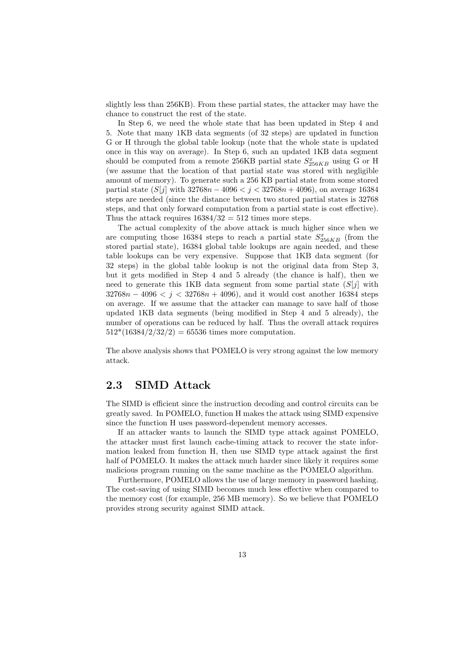slightly less than 256KB). From these partial states, the attacker may have the chance to construct the rest of the state.

In Step 6, we need the whole state that has been updated in Step 4 and 5. Note that many 1KB data segments (of 32 steps) are updated in function G or H through the global table lookup (note that the whole state is updated once in this way on average). In Step 6, such an updated 1KB data segment should be computed from a remote 256KB partial state  $S_{256KB}^x$  using G or H (we assume that the location of that partial state was stored with negligible amount of memory). To generate such a 256 KB partial state from some stored partial state (*S*[*j*] with 32768*n −* 4096 *< j <* 32768*n* + 4096), on average 16384 steps are needed (since the distance between two stored partial states is 32768 steps, and that only forward computation from a partial state is cost effective). Thus the attack requires  $16384/32 = 512$  times more steps.

The actual complexity of the above attack is much higher since when we are computing those 16384 steps to reach a partial state  $S_{256KB}^x$  (from the stored partial state), 16384 global table lookups are again needed, and these table lookups can be very expensive. Suppose that 1KB data segment (for 32 steps) in the global table lookup is not the original data from Step 3, but it gets modified in Step 4 and 5 already (the chance is half), then we need to generate this 1KB data segment from some partial state (*S*[*j*] with 32768*n −* 4096 *< j <* 32768*n* + 4096), and it would cost another 16384 steps on average. If we assume that the attacker can manage to save half of those updated 1KB data segments (being modified in Step 4 and 5 already), the number of operations can be reduced by half. Thus the overall attack requires  $512*(16384/2/32/2) = 65536$  times more computation.

The above analysis shows that POMELO is very strong against the low memory attack.

### **2.3 SIMD Attack**

The SIMD is efficient since the instruction decoding and control circuits can be greatly saved. In POMELO, function H makes the attack using SIMD expensive since the function H uses password-dependent memory accesses.

If an attacker wants to launch the SIMD type attack against POMELO, the attacker must first launch cache-timing attack to recover the state information leaked from function H, then use SIMD type attack against the first half of POMELO. It makes the attack much harder since likely it requires some malicious program running on the same machine as the POMELO algorithm.

Furthermore, POMELO allows the use of large memory in password hashing. The cost-saving of using SIMD becomes much less effective when compared to the memory cost (for example, 256 MB memory). So we believe that POMELO provides strong security against SIMD attack.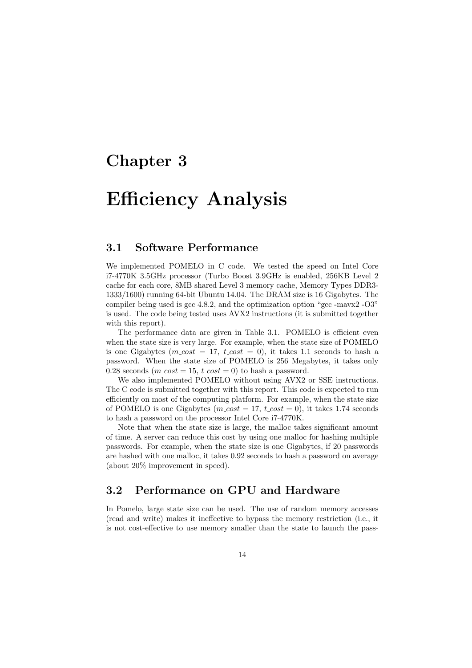# **Efficiency Analysis**

### **3.1 Software Performance**

We implemented POMELO in C code. We tested the speed on Intel Core i7-4770K 3.5GHz processor (Turbo Boost 3.9GHz is enabled, 256KB Level 2 cache for each core, 8MB shared Level 3 memory cache, Memory Types DDR3- 1333/1600) running 64-bit Ubuntu 14.04. The DRAM size is 16 Gigabytes. The compiler being used is gcc 4.8.2, and the optimization option "gcc -mavx2 -O3" is used. The code being tested uses AVX2 instructions (it is submitted together with this report).

The performance data are given in Table 3.1. POMELO is efficient even when the state size is very large. For example, when the state size of POMELO is one Gigabytes ( $m\_cost = 17$ ,  $t\_cost = 0$ ), it takes 1.1 seconds to hash a password. When the state size of POMELO is 256 Megabytes, it takes only 0.28 seconds  $(m\_cost = 15, t\_cost = 0)$  to hash a password.

We also implemented POMELO without using AVX2 or SSE instructions. The C code is submitted together with this report. This code is expected to run efficiently on most of the computing platform. For example, when the state size of POMELO is one Gigabytes ( $m\text{-}cost = 17$ ,  $t\text{-}cost = 0$ ), it takes 1.74 seconds to hash a password on the processor Intel Core i7-4770K.

Note that when the state size is large, the malloc takes significant amount of time. A server can reduce this cost by using one malloc for hashing multiple passwords. For example, when the state size is one Gigabytes, if 20 passwords are hashed with one malloc, it takes 0.92 seconds to hash a password on average (about 20% improvement in speed).

## **3.2 Performance on GPU and Hardware**

In Pomelo, large state size can be used. The use of random memory accesses (read and write) makes it ineffective to bypass the memory restriction (i.e., it is not cost-effective to use memory smaller than the state to launch the pass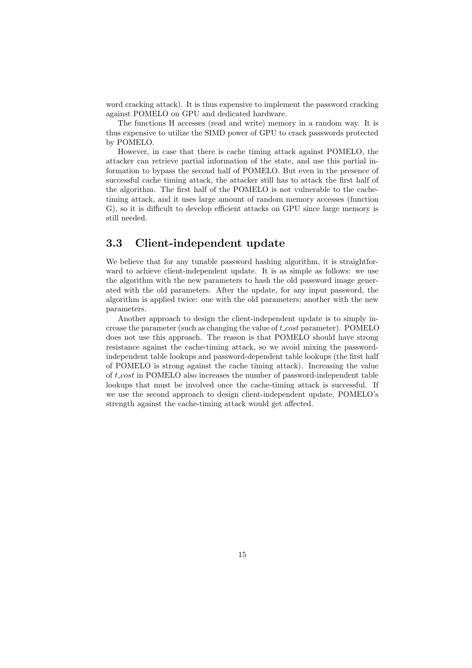word cracking attack). It is thus expensive to implement the password cracking against POMELO on GPU and dedicated hardware.

The functions H accesses (read and write) memory in a random way. It is thus expensive to utilize the SIMD power of GPU to crack passwords protected by POMELO.

However, in case that there is cache timing attack against POMELO, the attacker can retrieve partial information of the state, and use this partial information to bypass the second half of POMELO. But even in the presence of successful cache timing attack, the attacker still has to attack the first half of the algorithm. The first half of the POMELO is not vulnerable to the cachetiming attack, and it uses large amount of random memory accesses (function G), so it is difficult to develop efficient attacks on GPU since large memory is still needed.

### **3.3 Client-independent update**

We believe that for any tunable password hashing algorithm, it is straightforward to achieve client-independent update. It is as simple as follows: we use the algorithm with the new parameters to hash the old password image generated with the old parameters. After the update, for any input password, the algorithm is applied twice: one with the old parameters; another with the new parameters.

Another approach to design the client-independent update is to simply increase the parameter (such as changing the value of *t cost* parameter). POMELO does not use this approach. The reason is that POMELO should have strong resistance against the cache-timing attack, so we avoid mixing the passwordindependent table lookups and password-dependent table lookups (the first half of POMELO is strong against the cache timing attack). Increasing the value of *t cost* in POMELO also increases the number of password-independent table lookups that must be involved once the cache-timing attack is successful. If we use the second approach to design client-independent update, POMELO's strength against the cache-timing attack would get affected.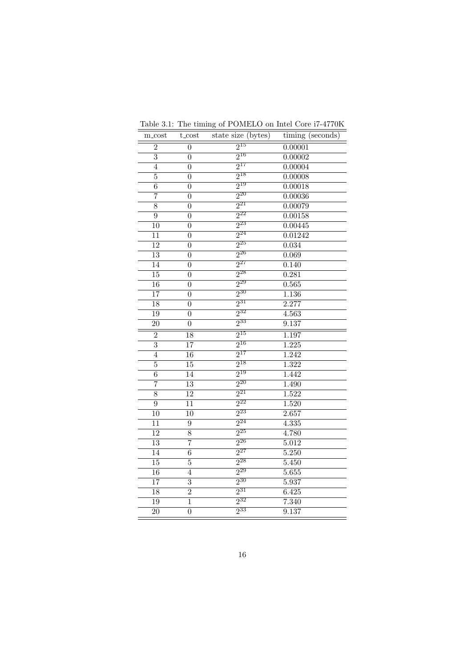| m_cost          | t_cost           | state size (bytes)  | timing (seconds)   |
|-----------------|------------------|---------------------|--------------------|
| $\overline{2}$  | $\boldsymbol{0}$ | $2^{15}$            | 0.00001            |
| $\overline{3}$  | $\overline{0}$   | $2^{16}$            | 0.00002            |
| $\overline{4}$  | $\overline{0}$   | $2^{17}$            | 0.00004            |
| $\overline{5}$  | $\overline{0}$   | $2^{18}$            | 0.00008            |
| $\overline{6}$  | $\overline{0}$   | $2^{19}$            | 0.00018            |
| $\overline{7}$  | $\boldsymbol{0}$ | $2^{20}$            | 0.00036            |
| $\overline{8}$  | $\overline{0}$   | $2^{21}$            | 0.00079            |
| $\overline{9}$  | $\overline{0}$   | $2^{22}$            | 0.00158            |
| $\overline{10}$ | $\overline{0}$   | $2^{23}$            | 0.00445            |
| $\overline{11}$ | $\overline{0}$   | $2^{24}$            | 0.01242            |
| $\overline{12}$ | $\overline{0}$   | $\overline{2^{25}}$ | 0.034              |
| $\overline{13}$ | $\overline{0}$   | $\overline{2^{26}}$ | 0.069              |
| $\overline{14}$ | $\overline{0}$   | $2^{27}$            | 0.140              |
| $\overline{15}$ | $\overline{0}$   | $2^{28}$            | 0.281              |
| $\overline{16}$ | $\overline{0}$   | $2^{29}$            | 0.565              |
| $\overline{17}$ | $\overline{0}$   | $2^{30}$            | 1.136              |
| 18              | $\overline{0}$   | $2^{31}$            | 2.277              |
| 19              | $\overline{0}$   | $2^{32}$            | 4.563              |
| $\overline{20}$ | $\overline{0}$   | $2^{33}$            | 9.137              |
| $\overline{2}$  | $\overline{18}$  | $2^{15}$            | 1.197              |
| $\overline{3}$  | $\overline{17}$  | $2^{16}$            | 1.225              |
| $\overline{4}$  | $\overline{16}$  | $2^{17}$            | 1.242              |
| $\overline{5}$  | $\overline{15}$  | $2^{18}$            | $\overline{1.322}$ |
| $\overline{6}$  | $\overline{14}$  | $2^{19}$            | 1.442              |
| $\overline{7}$  | $\overline{13}$  | $2^{20}$            | 1.490              |
| $\overline{8}$  | $\overline{12}$  | $2^{21}$            | 1.522              |
| $\overline{9}$  | $\overline{11}$  | $2^{22}$            | 1.520              |
| $\overline{10}$ | $\overline{10}$  | $2^{23}$            | 2.657              |
| 11              | $\boldsymbol{9}$ | $2^{24}$            | 4.335              |
| $\overline{12}$ | $\overline{8}$   | $2^{25}$            | 4.780              |
| 13              | $\overline{7}$   | $2^{26}$            | 5.012              |
| $\overline{14}$ | $\overline{6}$   | $2^{27}$            | 5.250              |
| $\overline{15}$ | $\overline{5}$   | $2^{28}$            | 5.450              |
| $\overline{16}$ | $\overline{4}$   | $2^{29}$            | 5.655              |
| 17              | $\overline{3}$   | $2^{30}$            | 5.937              |
| 18              | $\overline{2}$   | $2^{31}$            | 6.425              |
| 19              | $\overline{1}$   | $2^{32}$            | 7.340              |
| 20              | $\overline{0}$   | $2^{33}$            | 9.137              |

Table 3.1: The timing of POMELO on Intel Core i7-4770K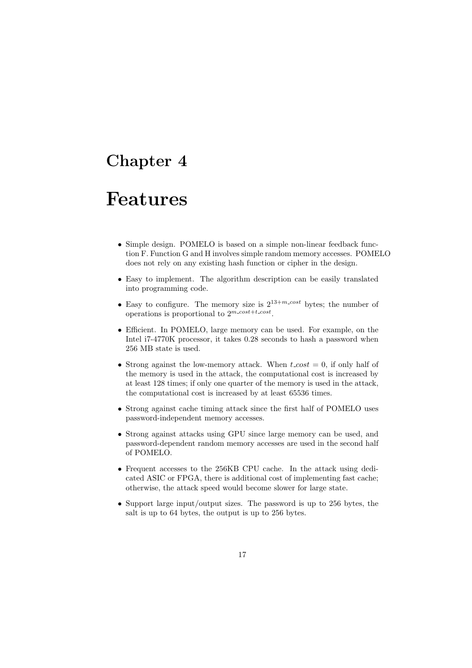# **Features**

- *•* Simple design. POMELO is based on a simple non-linear feedback function F. Function G and H involves simple random memory accesses. POMELO does not rely on any existing hash function or cipher in the design.
- *•* Easy to implement. The algorithm description can be easily translated into programming code.
- Easy to configure. The memory size is  $2^{13+m\text{-}cost}$  bytes; the number of operations is proportional to  $2^{m\text{-}cost+t\text{-}cost}$ .
- *•* Efficient. In POMELO, large memory can be used. For example, on the Intel i7-4770K processor, it takes 0.28 seconds to hash a password when 256 MB state is used.
- *•* Strong against the low-memory attack. When *t cost* = 0, if only half of the memory is used in the attack, the computational cost is increased by at least 128 times; if only one quarter of the memory is used in the attack, the computational cost is increased by at least 65536 times.
- Strong against cache timing attack since the first half of POMELO uses password-independent memory accesses.
- *•* Strong against attacks using GPU since large memory can be used, and password-dependent random memory accesses are used in the second half of POMELO.
- Frequent accesses to the 256KB CPU cache. In the attack using dedicated ASIC or FPGA, there is additional cost of implementing fast cache; otherwise, the attack speed would become slower for large state.
- *•* Support large input/output sizes. The password is up to 256 bytes, the salt is up to 64 bytes, the output is up to 256 bytes.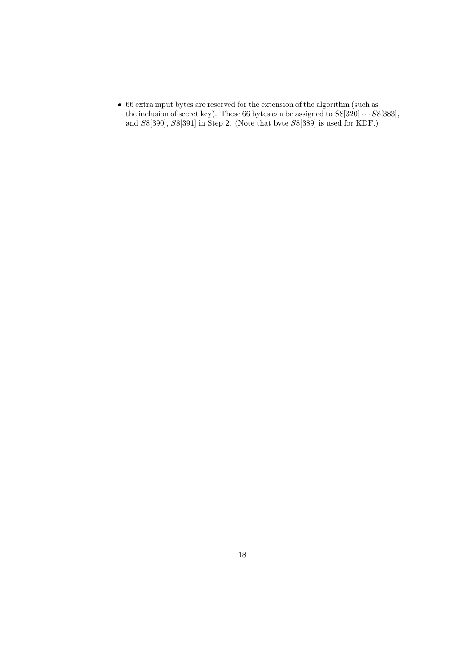*•* 66 extra input bytes are reserved for the extension of the algorithm (such as the inclusion of secret key). These 66 bytes can be assigned to  $S8[320] \cdots S8[383]$ , and *S*8[390], *S*8[391] in Step 2. (Note that byte *S*8[389] is used for KDF.)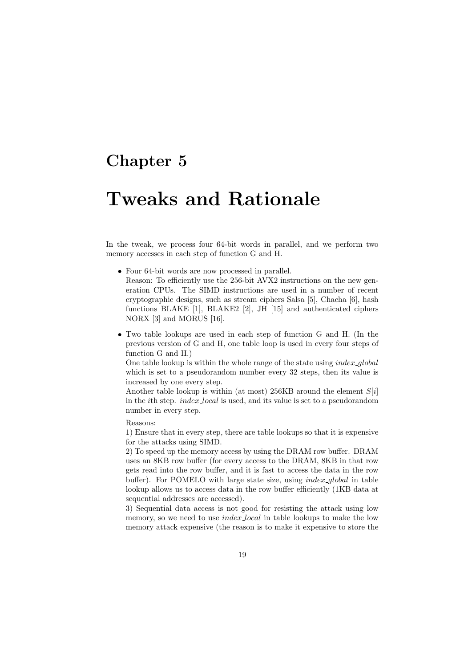# **Tweaks and Rationale**

In the tweak, we process four 64-bit words in parallel, and we perform two memory accesses in each step of function G and H.

- *•* Four 64-bit words are now processed in parallel. Reason: To efficiently use the 256-bit AVX2 instructions on the new generation CPUs. The SIMD instructions are used in a number of recent cryptographic designs, such as stream ciphers Salsa [5], Chacha [6], hash functions BLAKE [1], BLAKE2 [2], JH [15] and authenticated ciphers NORX [3] and MORUS [16].
- *•* Two table lookups are used in each step of function G and H. (In the previous version of G and H, one table loop is used in every four steps of function G and H.)

One table lookup is within the whole range of the state using *index global* which is set to a pseudorandom number every 32 steps, then its value is increased by one every step.

Another table lookup is within (at most) 256KB around the element *S*[*i*] in the *i*th step. *index local* is used, and its value is set to a pseudorandom number in every step.

Reasons:

1) Ensure that in every step, there are table lookups so that it is expensive for the attacks using SIMD.

2) To speed up the memory access by using the DRAM row buffer. DRAM uses an 8KB row buffer (for every access to the DRAM, 8KB in that row gets read into the row buffer, and it is fast to access the data in the row buffer). For POMELO with large state size, using *index global* in table lookup allows us to access data in the row buffer efficiently (1KB data at sequential addresses are accessed).

3) Sequential data access is not good for resisting the attack using low memory, so we need to use *index local* in table lookups to make the low memory attack expensive (the reason is to make it expensive to store the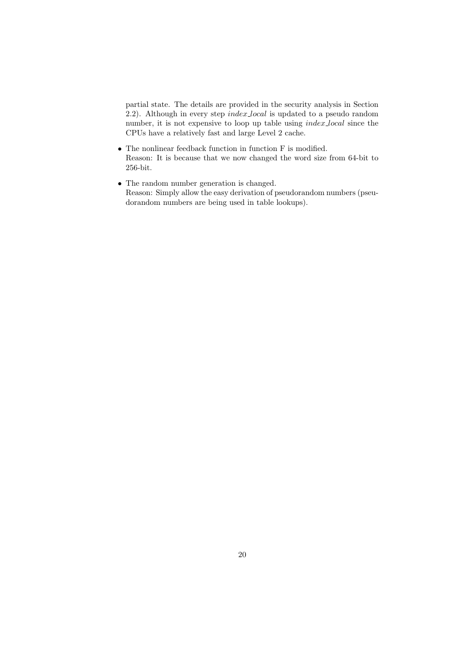partial state. The details are provided in the security analysis in Section 2.2). Although in every step *index local* is updated to a pseudo random number, it is not expensive to loop up table using *index local* since the CPUs have a relatively fast and large Level 2 cache.

- *•* The nonlinear feedback function in function F is modified. Reason: It is because that we now changed the word size from 64-bit to 256-bit.
- *•* The random number generation is changed. Reason: Simply allow the easy derivation of pseudorandom numbers (pseudorandom numbers are being used in table lookups).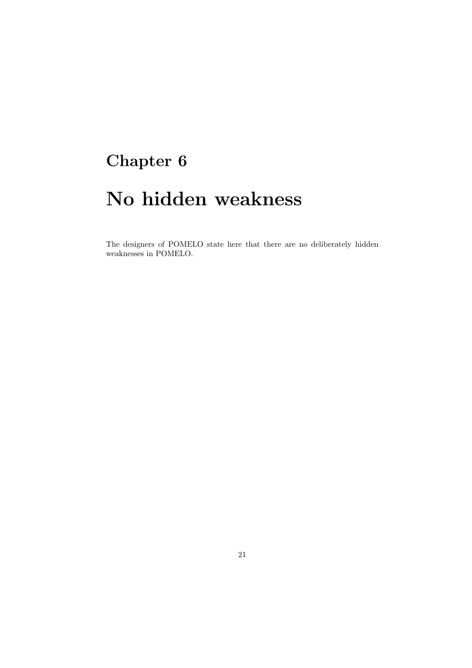# **No hidden weakness**

The designers of POMELO state here that there are no deliberately hidden weaknesses in POMELO.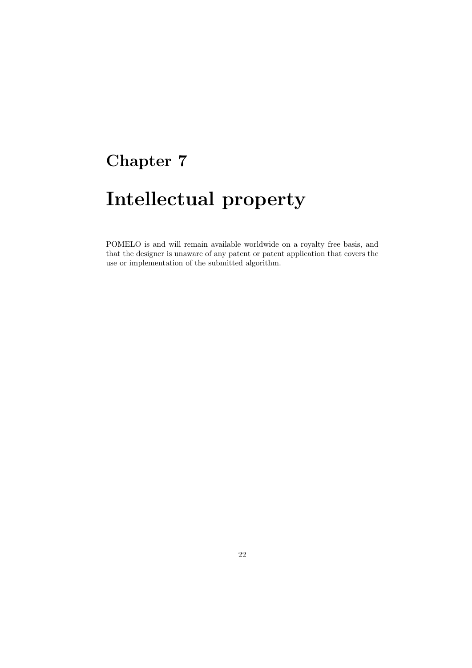# **Intellectual property**

POMELO is and will remain available worldwide on a royalty free basis, and that the designer is unaware of any patent or patent application that covers the use or implementation of the submitted algorithm.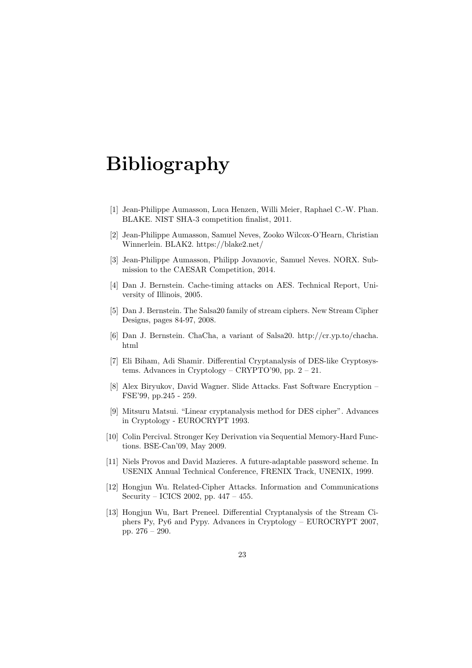# **Bibliography**

- [1] Jean-Philippe Aumasson, Luca Henzen, Willi Meier, Raphael C.-W. Phan. BLAKE. NIST SHA-3 competition finalist, 2011.
- [2] Jean-Philippe Aumasson, Samuel Neves, Zooko Wilcox-O'Hearn, Christian Winnerlein. BLAK2. https://blake2.net/
- [3] Jean-Philippe Aumasson, Philipp Jovanovic, Samuel Neves. NORX. Submission to the CAESAR Competition, 2014.
- [4] Dan J. Bernstein. Cache-timing attacks on AES. Technical Report, University of Illinois, 2005.
- [5] Dan J. Bernstein. The Salsa20 family of stream ciphers. New Stream Cipher Designs, pages 84-97, 2008.
- [6] Dan J. Bernstein. ChaCha, a variant of Salsa20. http://cr.yp.to/chacha. html
- [7] Eli Biham, Adi Shamir. Differential Cryptanalysis of DES-like Cryptosystems. Advances in Cryptology – CRYPTO'90, pp. 2 – 21.
- [8] Alex Biryukov, David Wagner. Slide Attacks. Fast Software Encryption FSE'99, pp.245 - 259.
- [9] Mitsuru Matsui. "Linear cryptanalysis method for DES cipher". Advances in Cryptology - EUROCRYPT 1993.
- [10] Colin Percival. Stronger Key Derivation via Sequential Memory-Hard Functions. BSE-Can'09, May 2009.
- [11] Niels Provos and David Mazieres. A future-adaptable password scheme. In USENIX Annual Technical Conference, FRENIX Track, UNENIX, 1999.
- [12] Hongjun Wu. Related-Cipher Attacks. Information and Communications Security – ICICS 2002, pp. 447 – 455.
- [13] Hongjun Wu, Bart Preneel. Differential Cryptanalysis of the Stream Ciphers Py, Py6 and Pypy. Advances in Cryptology – EUROCRYPT 2007, pp. 276 – 290.